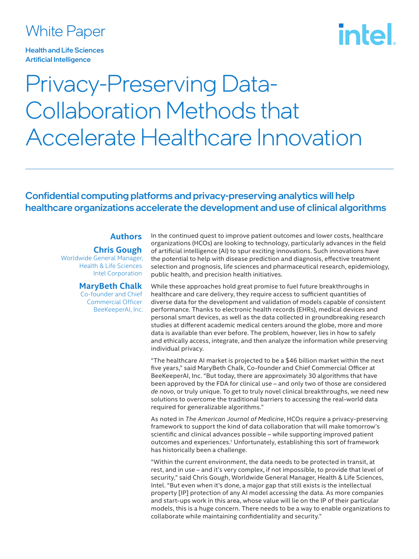### White Paper

Health and Life Sciences Artificial Intelligence

# intel

## Privacy-Preserving Data-Collaboration Methods that Accelerate Healthcare Innovation

#### Confidential computing platforms and privacy-preserving analytics will help healthcare organizations accelerate the development and use of clinical algorithms

#### **Authors**

**Chris Gough**

Worldwide General Manager, Health & Life Sciences Intel Corporation

#### **MaryBeth Chalk**

Co-founder and Chief Commercial Officer BeeKeeperAI, Inc. In the continued quest to improve patient outcomes and lower costs, healthcare organizations (HCOs) are looking to technology, particularly advances in the field of artificial intelligence (AI) to spur exciting innovations. Such innovations have the potential to help with disease prediction and diagnosis, effective treatment selection and prognosis, life sciences and pharmaceutical research, epidemiology, public health, and precision health initiatives.

While these approaches hold great promise to fuel future breakthroughs in healthcare and care delivery, they require access to sufficient quantities of diverse data for the development and validation of models capable of consistent performance. Thanks to electronic health records (EHRs), medical devices and personal smart devices, as well as the data collected in groundbreaking research studies at different academic medical centers around the globe, more and more data is available than ever before. The problem, however, lies in how to safely and ethically access, integrate, and then analyze the information while preserving individual privacy.

"The healthcare AI market is projected to be a \$46 billion market within the next five years," said MaryBeth Chalk, Co-founder and Chief Commercial Officer at BeeKeeperAI, Inc. "But today, there are approximately 30 algorithms that have been approved by the FDA for clinical use – and only two of those are considered *de novo*, or truly unique. To get to truly novel clinical breakthroughs, we need new solutions to overcome the traditional barriers to accessing the real-world data required for generalizable algorithms."

As noted in *The American Journal of Medicine*, HCOs require a privacy-preserving framework to support the kind of data collaboration that will make tomorrow's scientific and clinical advances possible – while supporting improved patient outcomes and experiences.<sup>1</sup> Unfortunately, establishing this sort of framework has historically been a challenge.

"Within the current environment, the data needs to be protected in transit, at rest, and in use – and it's very complex, if not impossible, to provide that level of security," said Chris Gough, Worldwide General Manager, Health & Life Sciences, Intel. "But even when it's done, a major gap that still exists is the intellectual property [IP] protection of any AI model accessing the data. As more companies and start-ups work in this area, whose value will lie on the IP of their particular models, this is a huge concern. There needs to be a way to enable organizations to collaborate while maintaining confidentiality and security."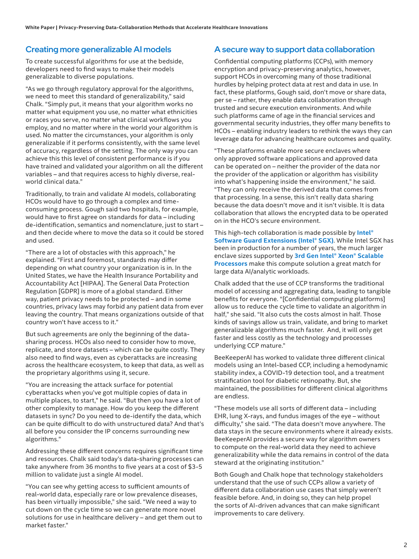#### Creating more generalizable AI models

To create successful algorithms for use at the bedside, developers need to find ways to make their models generalizable to diverse populations.

"As we go through regulatory approval for the algorithms, we need to meet this standard of generalizability," said Chalk. "Simply put, it means that your algorithm works no matter what equipment you use, no matter what ethnicities or races you serve, no matter what clinical workflows you employ, and no matter where in the world your algorithm is used. No matter the circumstances, your algorithm is only generalizable if it performs consistently, with the same level of accuracy, regardless of the setting. The only way you can achieve this this level of consistent performance is if you have trained and validated your algorithm on all the different variables – and that requires access to highly diverse, realworld clinical data."

Traditionally, to train and validate AI models, collaborating HCOs would have to go through a complex and timeconsuming process. Gough said two hospitals, for example, would have to first agree on standards for data – including de-identification, semantics and nomenclature, just to start – and then decide where to move the data so it could be stored and used.

"There are a lot of obstacles with this approach," he explained. "First and foremost, standards may differ depending on what country your organization is in. In the United States, we have the Health Insurance Portability and Accountability Act [HIPAA]. The General Data Protection Regulation [GDPR] is more of a global standard. Either way, patient privacy needs to be protected – and in some countries, privacy laws may forbid any patient data from ever leaving the country. That means organizations outside of that country won't have access to it."

But such agreements are only the beginning of the datasharing process. HCOs also need to consider how to move, replicate, and store datasets – which can be quite costly. They also need to find ways, even as cyberattacks are increasing across the healthcare ecosystem, to keep that data, as well as the proprietary algorithms using it, secure.

"You are increasing the attack surface for potential cyberattacks when you've got multiple copies of data in multiple places, to start," he said. "But then you have a lot of other complexity to manage. How do you keep the different datasets in sync? Do you need to de-identify the data, which can be quite difficult to do with unstructured data? And that's all before you consider the IP concerns surrounding new algorithms."

Addressing these different concerns requires significant time and resources. Chalk said today's data-sharing processes can take anywhere from 36 months to five years at a cost of \$3-5 million to validate just a single AI model.

"You can see why getting access to sufficient amounts of real-world data, especially rare or low prevalence diseases, has been virtually impossible," she said. "We need a way to cut down on the cycle time so we can generate more novel solutions for use in healthcare delivery – and get them out to market faster."

#### A secure way to support data collaboration

Confidential computing platforms (CCPs), with memory encryption and privacy-preserving analytics, however, support HCOs in overcoming many of those traditional hurdles by helping protect data at rest and data in use. In fact, these platforms, Gough said, don't move or share data, per se – rather, they enable data collaboration through trusted and secure execution environments. And while such platforms came of age in the financial services and governmental security industries, they offer many benefits to HCOs – enabling industry leaders to rethink the ways they can leverage data for advancing healthcare outcomes and quality.

"These platforms enable more secure enclaves where only approved software applications and approved data can be operated on – neither the provider of the data nor the provider of the application or algorithm has visibility into what's happening inside the environment," he said. "They can only receive the derived data that comes from that processing. In a sense, this isn't really data sharing because the data doesn't move and it isn't visible. It is data collaboration that allows the encrypted data to be operated on in the HCO's secure environment.

This high-tech collaboration is made possible by **[Intel®](https://www.intel.com/content/www/us/en/architecture-and-technology/software-guard-extensions.html)  [Software Guard Extensions \(Intel® SGX\)](https://www.intel.com/content/www/us/en/architecture-and-technology/software-guard-extensions.html)**. While Intel SGX has been in production for a number of years, the much larger enclave sizes supported by **[3rd Gen Intel® Xeon® Scalable](https://www.intel.com/content/www/us/en/products/details/processors/xeon/scalable.html)  [Processors](https://www.intel.com/content/www/us/en/products/details/processors/xeon/scalable.html)** make this compute solution a great match for large data AI/analytic workloads.

Chalk added that the use of CCP transforms the traditional model of accessing and aggregating data, leading to tangible benefits for everyone. "[Confidential computing platforms] allow us to reduce the cycle time to validate an algorithm in half," she said. "It also cuts the costs almost in half. Those kinds of savings allow us train, validate, and bring to market generalizable algorithms much faster. And, it will only get faster and less costly as the technology and processes underlying CCP mature."

BeeKeeperAI has worked to validate three different clinical models using an Intel-based CCP, including a hemodynamic stability index, a COVID-19 detection tool, and a treatment stratification tool for diabetic retinopathy. But, she maintained, the possibilities for different clinical algorithms are endless.

"These models use all sorts of different data – including EHR, lung X-rays, and fundus images of the eye – without difficulty," she said. "The data doesn't move anywhere. The data stays in the secure environments where it already exists. BeeKeeperAI provides a secure way for algorithm owners to compute on the real-world data they need to achieve generalizability while the data remains in control of the data steward at the originating institution."

Both Gough and Chalk hope that technology stakeholders understand that the use of such CCPs allow a variety of different data collaboration use cases that simply weren't feasible before. And, in doing so, they can help propel the sorts of AI-driven advances that can make significant improvements to care delivery.